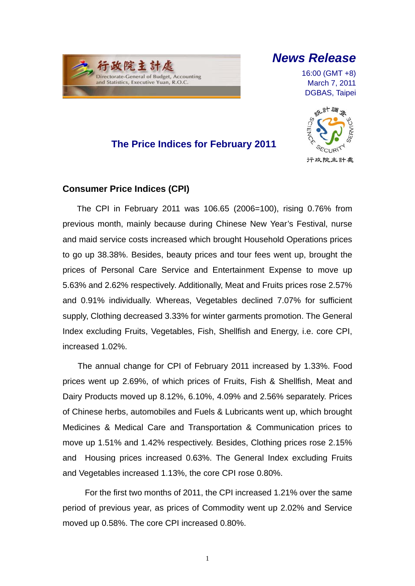# 行政院 Directorate-General of Budget, Accounting<br>and Statistics, Executive Yuan, R.O.C.

l

## *News Release*

16:00 (GMT +8) March 7, 2011 DGBAS, Taipei



### **The Price Indices for February 2011**

### **Consumer Price Indices (CPI)**

The CPI in February 2011 was 106.65 (2006=100), rising 0.76% from previous month, mainly because during Chinese New Year's Festival, nurse and maid service costs increased which brought Household Operations prices to go up 38.38%. Besides, beauty prices and tour fees went up, brought the prices of Personal Care Service and Entertainment Expense to move up 5.63% and 2.62% respectively. Additionally, Meat and Fruits prices rose 2.57% and 0.91% individually. Whereas, Vegetables declined 7.07% for sufficient supply, Clothing decreased 3.33% for winter garments promotion. The General Index excluding Fruits, Vegetables, Fish, Shellfish and Energy, i.e. core CPI, increased 1.02%.

The annual change for CPI of February 2011 increased by 1.33%. Food prices went up 2.69%, of which prices of Fruits, Fish & Shellfish, Meat and Dairy Products moved up 8.12%, 6.10%, 4.09% and 2.56% separately. Prices of Chinese herbs, automobiles and Fuels & Lubricants went up, which brought Medicines & Medical Care and Transportation & Communication prices to move up 1.51% and 1.42% respectively. Besides, Clothing prices rose 2.15% and Housing prices increased 0.63%. The General Index excluding Fruits and Vegetables increased 1.13%, the core CPI rose 0.80%.

For the first two months of 2011, the CPI increased 1.21% over the same period of previous year, as prices of Commodity went up 2.02% and Service moved up 0.58%. The core CPI increased 0.80%.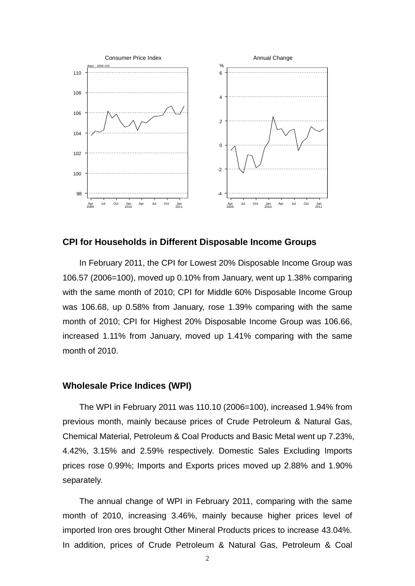

#### **CPI for Households in Different Disposable Income Groups**

In February 2011, the CPI for Lowest 20% Disposable Income Group was 106.57 (2006=100), moved up 0.10% from January, went up 1.38% comparing with the same month of 2010; CPI for Middle 60% Disposable Income Group was 106.68, up 0.58% from January, rose 1.39% comparing with the same month of 2010; CPI for Highest 20% Disposable Income Group was 106.66, increased 1.11% from January, moved up 1.41% comparing with the same month of 2010.

#### **Wholesale Price Indices (WPI)**

The WPI in February 2011 was 110.10 (2006=100), increased 1.94% from previous month, mainly because prices of Crude Petroleum & Natural Gas, Chemical Material, Petroleum & Coal Products and Basic Metal went up 7.23%, 4.42%, 3.15% and 2.59% respectively. Domestic Sales Excluding Imports prices rose 0.99%; Imports and Exports prices moved up 2.88% and 1.90% separately.

The annual change of WPI in February 2011, comparing with the same month of 2010, increasing 3.46%, mainly because higher prices level of imported Iron ores brought Other Mineral Products prices to increase 43.04%. In addition, prices of Crude Petroleum & Natural Gas, Petroleum & Coal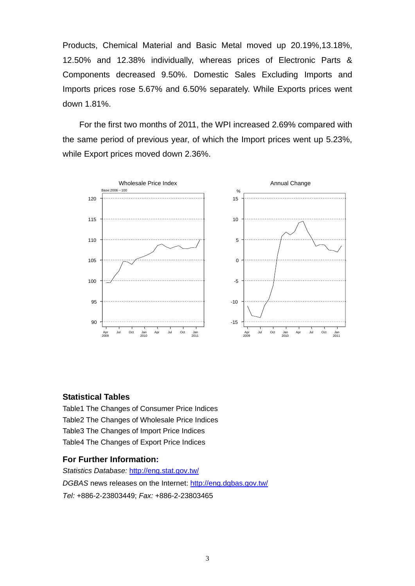Products, Chemical Material and Basic Metal moved up 20.19%,13.18%, 12.50% and 12.38% individually, whereas prices of Electronic Parts & Components decreased 9.50%. Domestic Sales Excluding Imports and Imports prices rose 5.67% and 6.50% separately. While Exports prices went down 1.81%.

For the first two months of 2011, the WPI increased 2.69% compared with the same period of previous year, of which the Import prices went up 5.23%, while Export prices moved down 2.36%.



#### **Statistical Tables**

Table1 The Changes of Consumer Price Indices Table2 The Changes of Wholesale Price Indices Table3 The Changes of Import Price Indices Table4 The Changes of Export Price Indices

#### **For Further Information:**

*Statistics Database:* http://eng.stat.gov.tw/ *DGBAS* news releases on the Internet: http://eng.dgbas.gov.tw/ *Tel:* +886-2-23803449; *Fax:* +886-2-23803465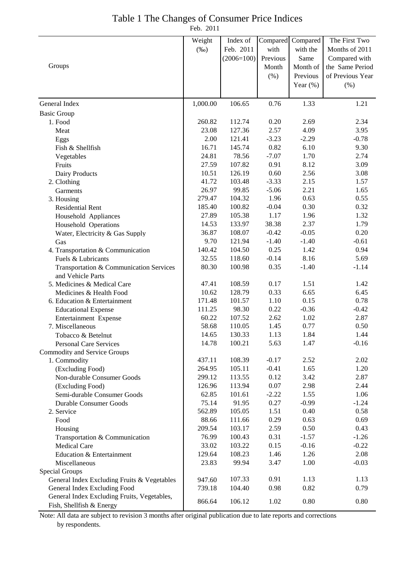### Table 1 The Changes of Consumer Price Indices

Feb. 2011

|                                             | Weight   | Index of     | Compared | Compared    | The First Two    |
|---------------------------------------------|----------|--------------|----------|-------------|------------------|
|                                             | $(\%0)$  | Feb. 2011    | with     | with the    | Months of 2011   |
|                                             |          | $(2006=100)$ | Previous | Same        | Compared with    |
| Groups                                      |          |              | Month    | Month of    | the Same Period  |
|                                             |          |              | $(\% )$  | Previous    | of Previous Year |
|                                             |          |              |          | Year $(\%)$ | (% )             |
|                                             |          |              |          |             |                  |
| General Index                               | 1,000.00 | 106.65       | 0.76     | 1.33        | 1.21             |
| <b>Basic Group</b>                          |          |              |          |             |                  |
| 1. Food                                     | 260.82   | 112.74       | 0.20     | 2.69        | 2.34             |
| Meat                                        | 23.08    | 127.36       | 2.57     | 4.09        | 3.95             |
| Eggs                                        | 2.00     | 121.41       | $-3.23$  | $-2.29$     | $-0.78$          |
| Fish & Shellfish                            | 16.71    | 145.74       | 0.82     | 6.10        | 9.30             |
| Vegetables                                  | 24.81    | 78.56        | $-7.07$  | 1.70        | 2.74             |
| Fruits                                      | 27.59    | 107.82       | 0.91     | 8.12        | 3.09             |
| Dairy Products                              | 10.51    | 126.19       | 0.60     | 2.56        | 3.08             |
| 2. Clothing                                 | 41.72    | 103.48       | $-3.33$  | 2.15        | 1.57             |
| Garments                                    | 26.97    | 99.85        | $-5.06$  | 2.21        | 1.65             |
| 3. Housing                                  | 279.47   | 104.32       | 1.96     | 0.63        | 0.55             |
| <b>Residential Rent</b>                     | 185.40   | 100.82       | $-0.04$  | 0.30        | 0.32             |
| Household Appliances                        | 27.89    | 105.38       | 1.17     | 1.96        | 1.32             |
| Household Operations                        | 14.53    | 133.97       | 38.38    | 2.37        | 1.79             |
| Water, Electricity & Gas Supply             | 36.87    | 108.07       | $-0.42$  | $-0.05$     | 0.20             |
| Gas                                         | 9.70     | 121.94       | $-1.40$  | $-1.40$     | $-0.61$          |
| 4. Transportation & Communication           | 140.42   | 104.50       | 0.25     | 1.42        | 0.94             |
| Fuels & Lubricants                          | 32.55    | 118.60       | $-0.14$  | 8.16        | 5.69             |
| Transportation & Communication Services     | 80.30    | 100.98       | 0.35     | $-1.40$     | $-1.14$          |
| and Vehicle Parts                           |          |              |          |             |                  |
| 5. Medicines & Medical Care                 | 47.41    | 108.59       | 0.17     | 1.51        | 1.42             |
| Medicines & Health Food                     | 10.62    | 128.79       | 0.33     | 6.65        | 6.45             |
| 6. Education & Entertainment                | 171.48   | 101.57       | 1.10     | 0.15        | 0.78             |
| <b>Educational Expense</b>                  | 111.25   | 98.30        | 0.22     | $-0.36$     | $-0.42$          |
| Entertainment Expense                       | 60.22    | 107.52       | 2.62     | 1.02        | 2.87             |
| 7. Miscellaneous                            | 58.68    | 110.05       | 1.45     | 0.77        | 0.50             |
| Tobacco & Betelnut                          | 14.65    | 130.33       | 1.13     | 1.84        | 1.44             |
| <b>Personal Care Services</b>               | 14.78    | 100.21       | 5.63     | 1.47        | $-0.16$          |
| Commodity and Service Groups                |          |              |          |             |                  |
| 1. Commodity                                | 437.11   | 108.39       | $-0.17$  | 2.52        | 2.02             |
| (Excluding Food)                            | 264.95   | 105.11       | $-0.41$  | 1.65        | 1.20             |
| Non-durable Consumer Goods                  | 299.12   | 113.55       | 0.12     | 3.42        | 2.87             |
| (Excluding Food)                            | 126.96   | 113.94       | 0.07     | 2.98        | 2.44             |
| Semi-durable Consumer Goods                 | 62.85    | 101.61       | $-2.22$  | 1.55        | 1.06             |
| <b>Durable Consumer Goods</b>               | 75.14    | 91.95        | 0.27     | $-0.99$     | $-1.24$          |
| 2. Service                                  | 562.89   | 105.05       | 1.51     | 0.40        | 0.58             |
| Food                                        | 88.66    | 111.66       | 0.29     | 0.63        | 0.69             |
| Housing                                     | 209.54   | 103.17       | 2.59     | 0.50        | 0.43             |
| Transportation & Communication              | 76.99    | 100.43       | 0.31     | $-1.57$     | $-1.26$          |
| Medical Care                                | 33.02    | 103.22       | 0.15     | $-0.16$     | $-0.22$          |
| Education & Entertainment                   | 129.64   | 108.23       | 1.46     | 1.26        | 2.08             |
| Miscellaneous                               | 23.83    | 99.94        | 3.47     | 1.00        | $-0.03$          |
| Special Groups                              |          |              |          |             |                  |
| General Index Excluding Fruits & Vegetables | 947.60   | 107.33       | 0.91     | 1.13        | 1.13             |
| General Index Excluding Food                | 739.18   | 104.40       | 0.98     | 0.82        | 0.79             |
| General Index Excluding Fruits, Vegetables, |          |              |          |             |                  |
| Fish, Shellfish & Energy                    | 866.64   | 106.12       | 1.02     | 0.80        | 0.80             |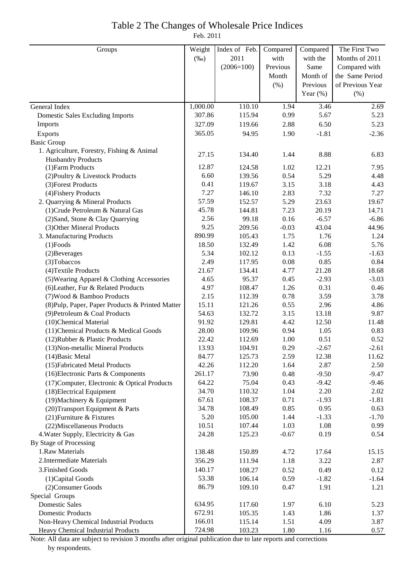## Table 2 The Changes of Wholesale Price Indices

Feb. 2011

| Groups                                           | Weight   | Index of Feb. | Compared | Compared          | The First Two    |
|--------------------------------------------------|----------|---------------|----------|-------------------|------------------|
|                                                  | $(\%0)$  | 2011          | with     | with the          | Months of 2011   |
|                                                  |          | $(2006=100)$  | Previous | Same              | Compared with    |
|                                                  |          |               | Month    | Month of          | the Same Period  |
|                                                  |          |               | (% )     | Previous          | of Previous Year |
|                                                  |          |               |          | Year $(\%)$       | (% )             |
| General Index                                    | 1,000.00 | 110.10        | 1.94     | $\overline{3.46}$ | 2.69             |
| <b>Domestic Sales Excluding Imports</b>          | 307.86   | 115.94        | 0.99     | 5.67              | 5.23             |
| Imports                                          | 327.09   | 119.66        | 2.88     | 6.50              | 5.23             |
| Exports                                          | 365.05   | 94.95         | 1.90     | $-1.81$           | $-2.36$          |
| <b>Basic Group</b>                               |          |               |          |                   |                  |
| 1. Agriculture, Forestry, Fishing & Animal       |          |               |          |                   |                  |
| <b>Husbandry Products</b>                        | 27.15    | 134.40        | 1.44     | 8.88              | 6.83             |
| (1) Farm Products                                | 12.87    | 124.58        | 1.02     | 12.21             | 7.95             |
| (2) Poultry & Livestock Products                 | 6.60     | 139.56        | 0.54     | 5.29              | 4.48             |
| (3) Forest Products                              | 0.41     | 119.67        | 3.15     | 3.18              | 4.43             |
| (4) Fishery Products                             | 7.27     | 146.10        | 2.83     | 7.32              | 7.27             |
| 2. Quarrying & Mineral Products                  | 57.59    | 152.57        | 5.29     | 23.63             | 19.67            |
| (1) Crude Petroleum & Natural Gas                | 45.78    | 144.81        | 7.23     | 20.19             | 14.71            |
| (2) Sand, Stone & Clay Quarrying                 | 2.56     | 99.18         | 0.16     | $-6.57$           | $-6.86$          |
| (3) Other Mineral Products                       | 9.25     | 209.56        | $-0.03$  | 43.04             | 44.96            |
| 3. Manufacturing Products                        | 890.99   | 105.43        | 1.75     | 1.76              | 1.24             |
| $(1)$ Foods                                      | 18.50    | 132.49        | 1.42     | 6.08              | 5.76             |
| (2) Beverages                                    | 5.34     | 102.12        | 0.13     | $-1.55$           | $-1.63$          |
| (3) Tobaccos                                     | 2.49     | 117.95        | 0.08     | 0.85              | 0.84             |
| (4) Textile Products                             | 21.67    | 134.41        | 4.77     | 21.28             | 18.68            |
| (5) Wearing Apparel & Clothing Accessories       | 4.65     | 95.37         | 0.45     | $-2.93$           | $-3.03$          |
| (6) Leather, Fur & Related Products              | 4.97     | 108.47        | 1.26     | 0.31              | 0.46             |
| (7) Wood & Bamboo Products                       | 2.15     | 112.39        | 0.78     | 3.59              | 3.78             |
| (8) Pulp, Paper, Paper Products & Printed Matter | 15.11    | 121.26        | 0.55     | 2.96              | 4.86             |
| (9) Petroleum & Coal Products                    | 54.63    | 132.72        | 3.15     | 13.18             | 9.87             |
| (10)Chemical Material                            | 91.92    | 129.81        | 4.42     | 12.50             | 11.48            |
| (11) Chemical Products & Medical Goods           | 28.00    | 109.96        | 0.94     | 1.05              | 0.83             |
| (12) Rubber & Plastic Products                   | 22.42    | 112.69        | 1.00     | 0.51              | 0.52             |
| (13) Non-metallic Mineral Products               | 13.93    | 104.91        | 0.29     | $-2.67$           | $-2.61$          |
| $(14)$ Basic Metal                               | 84.77    | 125.73        | 2.59     | 12.38             | 11.62            |
| (15) Fabricated Metal Products                   | 42.26    | 112.20        | 1.64     | 2.87              | 2.50             |
| (16) Electronic Parts & Components               | 261.17   | 73.90         | 0.48     | $-9.50$           | $-9.47$          |
| (17) Computer, Electronic & Optical Products     | 64.22    | 75.04         | 0.43     | $-9.42$           | $-9.46$          |
| (18) Electrical Equipment                        | 34.70    | 110.32        | 1.04     | 2.20              | 2.02             |
| (19) Machinery & Equipment                       | 67.61    | 108.37        | 0.71     | $-1.93$           | $-1.81$          |
| (20) Transport Equipment & Parts                 | 34.78    | 108.49        | 0.85     | 0.95              | 0.63             |
| (21) Furniture & Fixtures                        | 5.20     | 105.00        | 1.44     | $-1.33$           | $-1.70$          |
| (22) Miscellaneous Products                      | 10.51    | 107.44        | 1.03     | 1.08              | 0.99             |
| 4. Water Supply, Electricity & Gas               | 24.28    | 125.23        | $-0.67$  | 0.19              | 0.54             |
| By Stage of Processing                           |          |               |          |                   |                  |
| 1.Raw Materials                                  | 138.48   | 150.89        | 4.72     | 17.64             | 15.15            |
| 2. Intermediate Materials                        | 356.29   | 111.94        | 1.18     | 3.22              | 2.87             |
| 3. Finished Goods                                | 140.17   | 108.27        | 0.52     | 0.49              | 0.12             |
| (1) Capital Goods                                | 53.38    | 106.14        | 0.59     | $-1.82$           | $-1.64$          |
| (2) Consumer Goods                               | 86.79    | 109.10        | 0.47     | 1.91              | 1.21             |
| Special Groups                                   |          |               |          |                   |                  |
| <b>Domestic Sales</b>                            | 634.95   | 117.60        | 1.97     | 6.10              | 5.23             |
| <b>Domestic Products</b>                         | 672.91   | 105.35        | 1.43     | 1.86              | 1.37             |
| Non-Heavy Chemical Industrial Products           | 166.01   | 115.14        | 1.51     | 4.09              | 3.87             |
| Heavy Chemical Industrial Products               | 724.98   | 103.23        | 1.80     | 1.16              | 0.57             |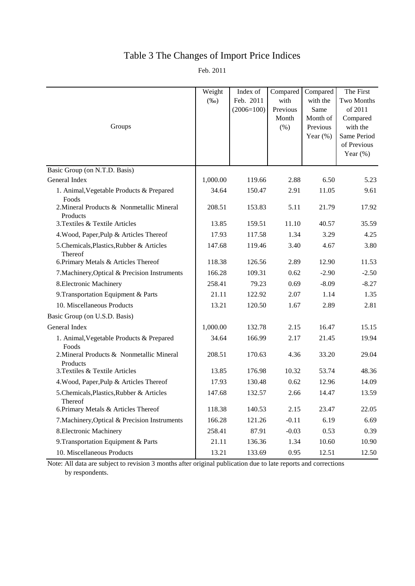### Table 3 The Changes of Import Price Indices

Feb. 2011

| Groups                                                | Weight<br>$(\%0)$ | Index of<br>Feb. 2011<br>$(2006=100)$ | Compared<br>with<br>Previous<br>Month<br>(% ) | Compared<br>with the<br>Same<br>Month of<br>Previous<br>Year $(\%)$ | The First<br>Two Months<br>of 2011<br>Compared<br>with the<br>Same Period<br>of Previous<br>Year $(\%)$ |
|-------------------------------------------------------|-------------------|---------------------------------------|-----------------------------------------------|---------------------------------------------------------------------|---------------------------------------------------------------------------------------------------------|
| Basic Group (on N.T.D. Basis)                         |                   |                                       |                                               |                                                                     |                                                                                                         |
| General Index                                         | 1,000.00          | 119.66                                | 2.88                                          | 6.50                                                                | 5.23                                                                                                    |
| 1. Animal, Vegetable Products & Prepared<br>Foods     | 34.64             | 150.47                                | 2.91                                          | 11.05                                                               | 9.61                                                                                                    |
| 2. Mineral Products & Nonmetallic Mineral<br>Products | 208.51            | 153.83                                | 5.11                                          | 21.79                                                               | 17.92                                                                                                   |
| 3. Textiles & Textile Articles                        | 13.85             | 159.51                                | 11.10                                         | 40.57                                                               | 35.59                                                                                                   |
| 4. Wood, Paper, Pulp & Articles Thereof               | 17.93             | 117.58                                | 1.34                                          | 3.29                                                                | 4.25                                                                                                    |
| 5. Chemicals, Plastics, Rubber & Articles<br>Thereof  | 147.68            | 119.46                                | 3.40                                          | 4.67                                                                | 3.80                                                                                                    |
| 6. Primary Metals & Articles Thereof                  | 118.38            | 126.56                                | 2.89                                          | 12.90                                                               | 11.53                                                                                                   |
| 7. Machinery, Optical & Precision Instruments         | 166.28            | 109.31                                | 0.62                                          | $-2.90$                                                             | $-2.50$                                                                                                 |
| 8. Electronic Machinery                               | 258.41            | 79.23                                 | 0.69                                          | $-8.09$                                                             | $-8.27$                                                                                                 |
| 9. Transportation Equipment & Parts                   | 21.11             | 122.92                                | 2.07                                          | 1.14                                                                | 1.35                                                                                                    |
| 10. Miscellaneous Products                            | 13.21             | 120.50                                | 1.67                                          | 2.89                                                                | 2.81                                                                                                    |
| Basic Group (on U.S.D. Basis)                         |                   |                                       |                                               |                                                                     |                                                                                                         |
| General Index                                         | 1,000.00          | 132.78                                | 2.15                                          | 16.47                                                               | 15.15                                                                                                   |
| 1. Animal, Vegetable Products & Prepared<br>Foods     | 34.64             | 166.99                                | 2.17                                          | 21.45                                                               | 19.94                                                                                                   |
| 2. Mineral Products & Nonmetallic Mineral<br>Products | 208.51            | 170.63                                | 4.36                                          | 33.20                                                               | 29.04                                                                                                   |
| 3. Textiles & Textile Articles                        | 13.85             | 176.98                                | 10.32                                         | 53.74                                                               | 48.36                                                                                                   |
| 4. Wood, Paper, Pulp & Articles Thereof               | 17.93             | 130.48                                | 0.62                                          | 12.96                                                               | 14.09                                                                                                   |
| 5. Chemicals, Plastics, Rubber & Articles<br>Thereof  | 147.68            | 132.57                                | 2.66                                          | 14.47                                                               | 13.59                                                                                                   |
| 6. Primary Metals & Articles Thereof                  | 118.38            | 140.53                                | 2.15                                          | 23.47                                                               | 22.05                                                                                                   |
| 7. Machinery, Optical & Precision Instruments         | 166.28            | 121.26                                | $-0.11$                                       | 6.19                                                                | 6.69                                                                                                    |
| 8. Electronic Machinery                               | 258.41            | 87.91                                 | $-0.03$                                       | 0.53                                                                | 0.39                                                                                                    |
| 9. Transportation Equipment & Parts                   | 21.11             | 136.36                                | 1.34                                          | 10.60                                                               | 10.90                                                                                                   |
| 10. Miscellaneous Products                            | 13.21             | 133.69                                | 0.95                                          | 12.51                                                               | 12.50                                                                                                   |